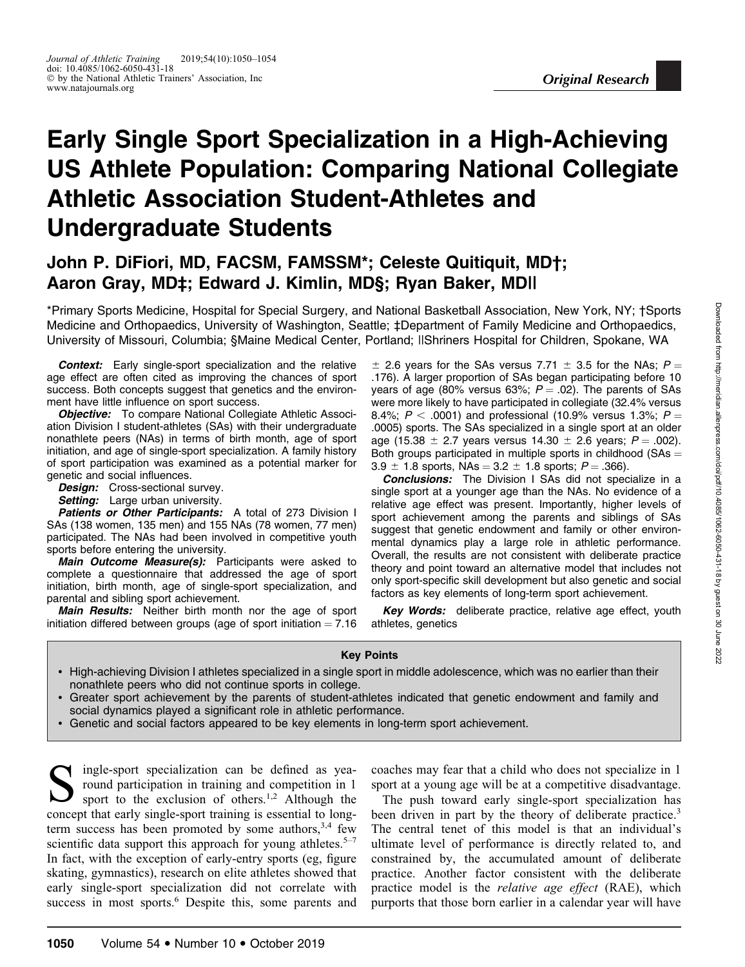# Early Single Sport Specialization in a High-Achieving US Athlete Population: Comparing National Collegiate Athletic Association Student-Athletes and Undergraduate Students

# John P. DiFiori, MD, FACSM, FAMSSM\*; Celeste Quitiquit, MD†; Aaron Gray, MD‡; Edward J. Kimlin, MD§; Ryan Baker, MD||

\*Primary Sports Medicine, Hospital for Special Surgery, and National Basketball Association, New York, NY; †Sports Medicine and Orthopaedics, University of Washington, Seattle; ‡Department of Family Medicine and Orthopaedics, University of Missouri, Columbia; §Maine Medical Center, Portland; ||Shriners Hospital for Children, Spokane, WA

Context: Early single-sport specialization and the relative age effect are often cited as improving the chances of sport success. Both concepts suggest that genetics and the environment have little influence on sport success.

**Objective:** To compare National Collegiate Athletic Association Division I student-athletes (SAs) with their undergraduate nonathlete peers (NAs) in terms of birth month, age of sport initiation, and age of single-sport specialization. A family history of sport participation was examined as a potential marker for genetic and social influences.

Design: Cross-sectional survey.

Setting: Large urban university.

Patients or Other Participants: A total of 273 Division I SAs (138 women, 135 men) and 155 NAs (78 women, 77 men) participated. The NAs had been involved in competitive youth sports before entering the university.

Main Outcome Measure(s): Participants were asked to complete a questionnaire that addressed the age of sport initiation, birth month, age of single-sport specialization, and parental and sibling sport achievement.

Main Results: Neither birth month nor the age of sport initiation differed between groups (age of sport initiation  $= 7.16$ )

 $\pm$  2.6 years for the SAs versus 7.71  $\pm$  3.5 for the NAs; P = .176). A larger proportion of SAs began participating before 10 years of age (80% versus 63%;  $P = .02$ ). The parents of SAs were more likely to have participated in collegiate (32.4% versus 8.4%;  $P < .0001$ ) and professional (10.9% versus 1.3%;  $P =$ .0005) sports. The SAs specialized in a single sport at an older age (15.38  $\pm$  2.7 years versus 14.30  $\pm$  2.6 years; P = .002). Both groups participated in multiple sports in childhood ( $SAs =$  $3.9 \pm 1.8$  sports, NAs =  $3.2 \pm 1.8$  sports; P = .366).

**Conclusions:** The Division I SAs did not specialize in a single sport at a younger age than the NAs. No evidence of a relative age effect was present. Importantly, higher levels of sport achievement among the parents and siblings of SAs suggest that genetic endowment and family or other environmental dynamics play a large role in athletic performance. Overall, the results are not consistent with deliberate practice theory and point toward an alternative model that includes not only sport-specific skill development but also genetic and social factors as key elements of long-term sport achievement.

Key Words: deliberate practice, relative age effect, youth athletes, genetics

#### Key Points

- High-achieving Division I athletes specialized in a single sport in middle adolescence, which was no earlier than their nonathlete peers who did not continue sports in college.
- Greater sport achievement by the parents of student-athletes indicated that genetic endowment and family and social dynamics played a significant role in athletic performance.
- Genetic and social factors appeared to be key elements in long-term sport achievement.

Single-sport specialization can be defined as yea-<br>round participation in training and competition in 1<br>sport to the exclusion of others.<sup>1,2</sup> Although the round participation in training and competition in 1 concept that early single-sport training is essential to longterm success has been promoted by some authors,  $3,4$  few scientific data support this approach for young athletes.<sup>5–7</sup> In fact, with the exception of early-entry sports (eg, figure skating, gymnastics), research on elite athletes showed that early single-sport specialization did not correlate with success in most sports.<sup>6</sup> Despite this, some parents and coaches may fear that a child who does not specialize in 1 sport at a young age will be at a competitive disadvantage.

The push toward early single-sport specialization has been driven in part by the theory of deliberate practice.<sup>3</sup> The central tenet of this model is that an individual's ultimate level of performance is directly related to, and constrained by, the accumulated amount of deliberate practice. Another factor consistent with the deliberate practice model is the relative age effect (RAE), which purports that those born earlier in a calendar year will have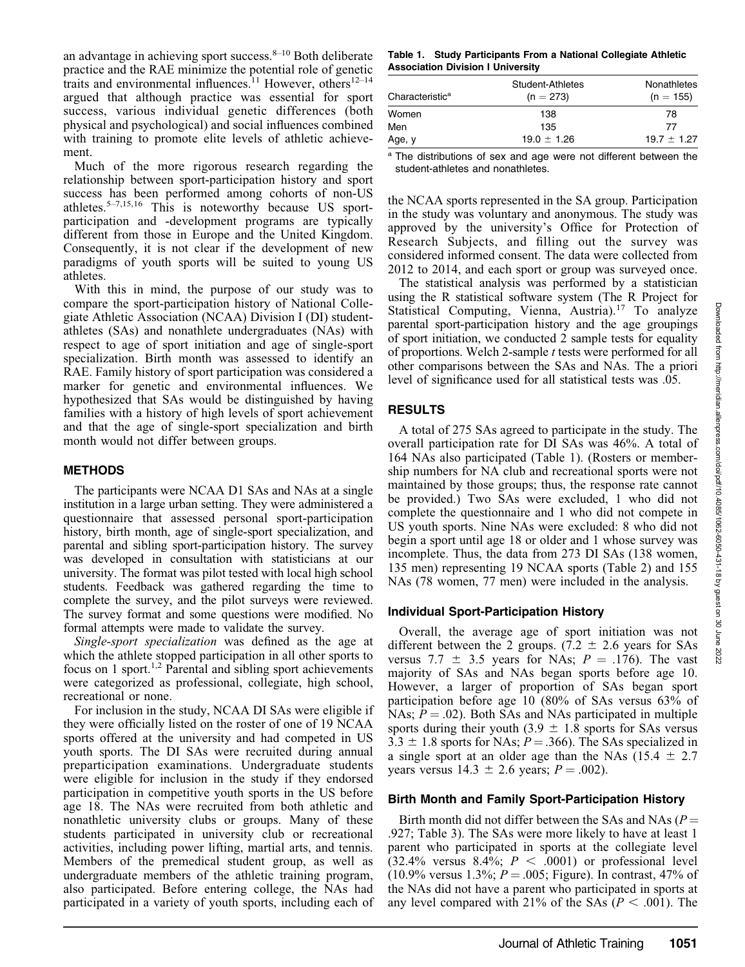an advantage in achieving sport success. $8-10$  Both deliberate practice and the RAE minimize the potential role of genetic traits and environmental influences.<sup>11</sup> However, others<sup>12–14</sup> argued that although practice was essential for sport success, various individual genetic differences (both physical and psychological) and social influences combined with training to promote elite levels of athletic achievement.

Much of the more rigorous research regarding the relationship between sport-participation history and sport success has been performed among cohorts of non-US athletes.5–7,15,16 This is noteworthy because US sportparticipation and -development programs are typically different from those in Europe and the United Kingdom. Consequently, it is not clear if the development of new paradigms of youth sports will be suited to young US athletes.

With this in mind, the purpose of our study was to compare the sport-participation history of National Collegiate Athletic Association (NCAA) Division I (DI) studentathletes (SAs) and nonathlete undergraduates (NAs) with respect to age of sport initiation and age of single-sport specialization. Birth month was assessed to identify an RAE. Family history of sport participation was considered a marker for genetic and environmental influences. We hypothesized that SAs would be distinguished by having families with a history of high levels of sport achievement and that the age of single-sport specialization and birth month would not differ between groups.

# METHODS

The participants were NCAA D1 SAs and NAs at a single institution in a large urban setting. They were administered a questionnaire that assessed personal sport-participation history, birth month, age of single-sport specialization, and parental and sibling sport-participation history. The survey was developed in consultation with statisticians at our university. The format was pilot tested with local high school students. Feedback was gathered regarding the time to complete the survey, and the pilot surveys were reviewed. The survey format and some questions were modified. No formal attempts were made to validate the survey.

Single-sport specialization was defined as the age at which the athlete stopped participation in all other sports to focus on 1 sport.<sup>1,2</sup> Parental and sibling sport achievements were categorized as professional, collegiate, high school, recreational or none.

For inclusion in the study, NCAA DI SAs were eligible if they were officially listed on the roster of one of 19 NCAA sports offered at the university and had competed in US youth sports. The DI SAs were recruited during annual preparticipation examinations. Undergraduate students were eligible for inclusion in the study if they endorsed participation in competitive youth sports in the US before age 18. The NAs were recruited from both athletic and nonathletic university clubs or groups. Many of these students participated in university club or recreational activities, including power lifting, martial arts, and tennis. Members of the premedical student group, as well as undergraduate members of the athletic training program, also participated. Before entering college, the NAs had participated in a variety of youth sports, including each of

Table 1. Study Participants From a National Collegiate Athletic Association Division I University

| Characteristic <sup>a</sup> | Student-Athletes<br>$(n = 273)$ | Nonathletes<br>$(n = 155)$ |
|-----------------------------|---------------------------------|----------------------------|
| Women                       | 138                             | 78                         |
| Men                         | 135                             | 77                         |
| Age, y                      | $19.0 \pm 1.26$                 | $19.7 \pm 1.27$            |

<sup>a</sup> The distributions of sex and age were not different between the student-athletes and nonathletes.

the NCAA sports represented in the SA group. Participation in the study was voluntary and anonymous. The study was approved by the university's Office for Protection of Research Subjects, and filling out the survey was considered informed consent. The data were collected from 2012 to 2014, and each sport or group was surveyed once.

The statistical analysis was performed by a statistician using the R statistical software system (The R Project for Statistical Computing, Vienna, Austria).<sup>17</sup> To analyze parental sport-participation history and the age groupings of sport initiation, we conducted 2 sample tests for equality of proportions. Welch 2-sample t tests were performed for all other comparisons between the SAs and NAs. The a priori level of significance used for all statistical tests was .05.

# RESULTS

A total of 275 SAs agreed to participate in the study. The overall participation rate for DI SAs was 46%. A total of 164 NAs also participated (Table 1). (Rosters or membership numbers for NA club and recreational sports were not maintained by those groups; thus, the response rate cannot be provided.) Two SAs were excluded, 1 who did not complete the questionnaire and 1 who did not compete in US youth sports. Nine NAs were excluded: 8 who did not begin a sport until age 18 or older and 1 whose survey was incomplete. Thus, the data from 273 DI SAs (138 women, 135 men) representing 19 NCAA sports (Table 2) and 155 NAs (78 women, 77 men) were included in the analysis.

# Individual Sport-Participation History

Overall, the average age of sport initiation was not different between the 2 groups. (7.2  $\pm$  2.6 years for SAs versus 7.7  $\pm$  3.5 years for NAs; P = .176). The vast majority of SAs and NAs began sports before age 10. However, a larger of proportion of SAs began sport participation before age 10 (80% of SAs versus 63% of NAs;  $P = .02$ ). Both SAs and NAs participated in multiple sports during their youth (3.9  $\pm$  1.8 sports for SAs versus  $3.3 \pm 1.8$  sports for NAs;  $P = .366$ ). The SAs specialized in a single sport at an older age than the NAs  $(15.4 \pm 2.7)$ years versus  $14.3 \pm 2.6$  years;  $P = .002$ ).

# Birth Month and Family Sport-Participation History

Birth month did not differ between the SAs and NAs ( $P =$ .927; Table 3). The SAs were more likely to have at least 1 parent who participated in sports at the collegiate level  $(32.4\%$  versus 8.4%;  $P < .0001$ ) or professional level (10.9% versus 1.3%;  $P = .005$ ; Figure). In contrast, 47% of the NAs did not have a parent who participated in sports at any level compared with 21% of the SAs ( $P < .001$ ). The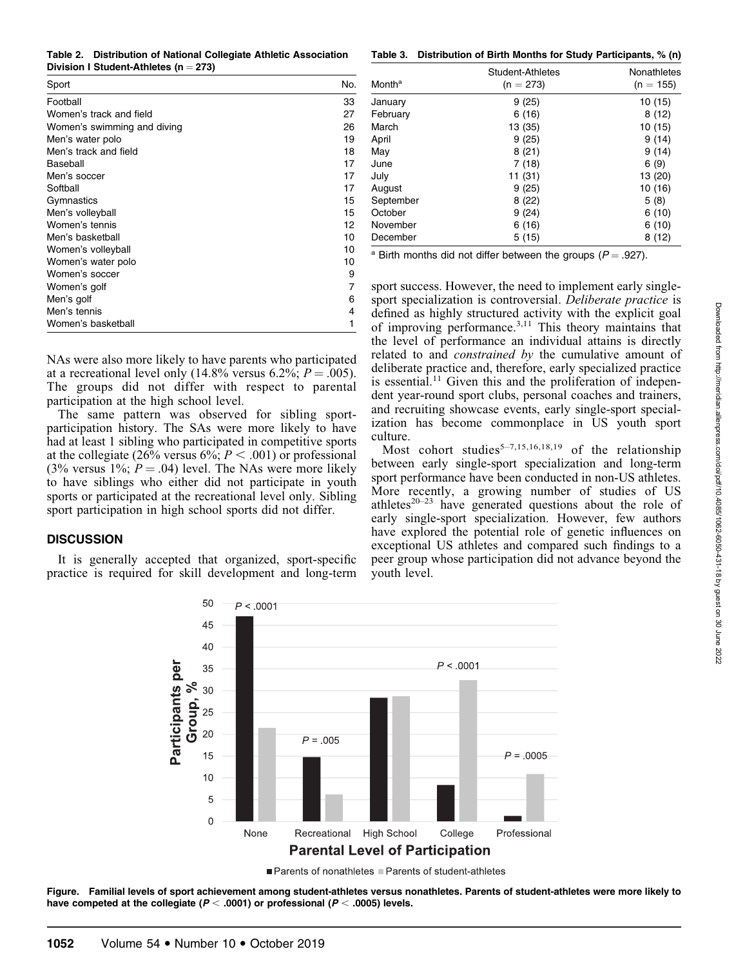Table 2. Distribution of National Collegiate Athletic Association Division I Student-Athletes ( $n = 273$ )

| Sport                       | No. |
|-----------------------------|-----|
| Football                    | 33  |
| Women's track and field     | 27  |
| Women's swimming and diving | 26  |
| Men's water polo            | 19  |
| Men's track and field       | 18  |
| Baseball                    | 17  |
| Men's soccer                | 17  |
| Softball                    | 17  |
| Gymnastics                  | 15  |
| Men's volleyball            | 15  |
| Women's tennis              | 12  |
| Men's basketball            | 10  |
| Women's volleyball          | 10  |
| Women's water polo          | 10  |
| Women's soccer              | 9   |
| Women's golf                | 7   |
| Men's golf                  | 6   |
| Men's tennis                | 4   |
| Women's basketball          | 1   |

NAs were also more likely to have parents who participated at a recreational level only (14.8% versus 6.2%;  $P = .005$ ). The groups did not differ with respect to parental participation at the high school level.

The same pattern was observed for sibling sportparticipation history. The SAs were more likely to have had at least 1 sibling who participated in competitive sports at the collegiate (26% versus 6%;  $P < .001$ ) or professional (3% versus 1%;  $P = .04$ ) level. The NAs were more likely to have siblings who either did not participate in youth sports or participated at the recreational level only. Sibling sport participation in high school sports did not differ.

#### **DISCUSSION**

It is generally accepted that organized, sport-specific practice is required for skill development and long-term

Table 3. Distribution of Birth Months for Study Participants, % (n)

| Month <sup>a</sup> | Student-Athletes<br>$(n = 273)$ | <b>Nonathletes</b><br>$(n = 155)$ |
|--------------------|---------------------------------|-----------------------------------|
| January            | 9(25)                           | 10 (15)                           |
| February           | 6(16)                           | 8 (12)                            |
| March              | 13 (35)                         | 10 (15)                           |
| April              | 9(25)                           | 9 (14)                            |
| May                | 8(21)                           | 9 (14)                            |
| June               | 7(18)                           | 6(9)                              |
| July               | 11 (31)                         | 13 (20)                           |
| August             | 9(25)                           | 10 (16)                           |
| September          | 8(22)                           | 5(8)                              |
| October            | 9(24)                           | 6(10)                             |
| November           | 6(16)                           | 6(10)                             |
| December           | 5 (15)                          | 8 (12)                            |

<sup>a</sup> Birth months did not differ between the groups ( $P = .927$ ).

sport success. However, the need to implement early singlesport specialization is controversial. Deliberate practice is defined as highly structured activity with the explicit goal of improving performance.3,11 This theory maintains that the level of performance an individual attains is directly related to and constrained by the cumulative amount of deliberate practice and, therefore, early specialized practice is essential.<sup>11</sup> Given this and the proliferation of independent year-round sport clubs, personal coaches and trainers, and recruiting showcase events, early single-sport specialization has become commonplace in US youth sport culture.

Most cohort studies<sup>5-7,15,16,18,19</sup> of the relationship between early single-sport specialization and long-term sport performance have been conducted in non-US athletes. More recently, a growing number of studies of US athletes $20-23$  have generated questions about the role of early single-sport specialization. However, few authors have explored the potential role of genetic influences on exceptional US athletes and compared such findings to a peer group whose participation did not advance beyond the youth level.



■ Parents of nonathletes ■ Parents of student-athletes

Figure. Familial levels of sport achievement among student-athletes versus nonathletes. Parents of student-athletes were more likely to have competed at the collegiate ( $P < .0001$ ) or professional ( $P < .0005$ ) levels.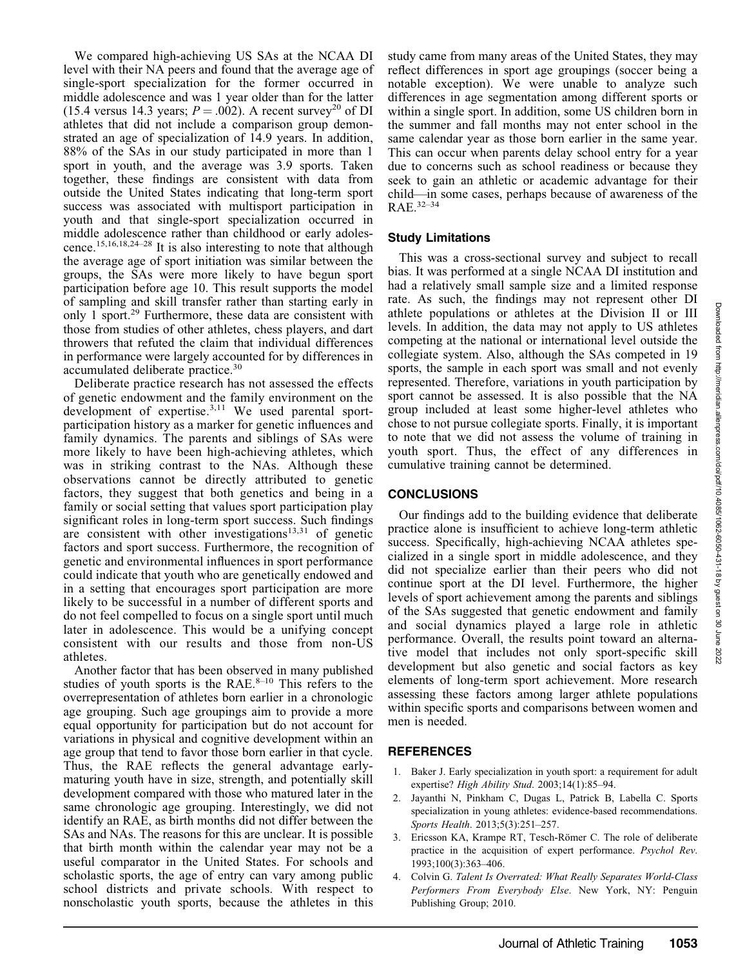We compared high-achieving US SAs at the NCAA DI level with their NA peers and found that the average age of single-sport specialization for the former occurred in middle adolescence and was 1 year older than for the latter (15.4 versus 14.3 years;  $P = .002$ ). A recent survey<sup>20</sup> of DI athletes that did not include a comparison group demonstrated an age of specialization of 14.9 years. In addition, 88% of the SAs in our study participated in more than 1 sport in youth, and the average was 3.9 sports. Taken together, these findings are consistent with data from outside the United States indicating that long-term sport success was associated with multisport participation in youth and that single-sport specialization occurred in middle adolescence rather than childhood or early adolescence.15,16,18,24–28 It is also interesting to note that although the average age of sport initiation was similar between the groups, the SAs were more likely to have begun sport participation before age 10. This result supports the model of sampling and skill transfer rather than starting early in only 1 sport.29 Furthermore, these data are consistent with those from studies of other athletes, chess players, and dart throwers that refuted the claim that individual differences in performance were largely accounted for by differences in accumulated deliberate practice.<sup>30</sup>

Deliberate practice research has not assessed the effects of genetic endowment and the family environment on the development of expertise.<sup>3,11</sup> We used parental sportparticipation history as a marker for genetic influences and family dynamics. The parents and siblings of SAs were more likely to have been high-achieving athletes, which was in striking contrast to the NAs. Although these observations cannot be directly attributed to genetic factors, they suggest that both genetics and being in a family or social setting that values sport participation play significant roles in long-term sport success. Such findings are consistent with other investigations<sup>13,31</sup> of genetic factors and sport success. Furthermore, the recognition of genetic and environmental influences in sport performance could indicate that youth who are genetically endowed and in a setting that encourages sport participation are more likely to be successful in a number of different sports and do not feel compelled to focus on a single sport until much later in adolescence. This would be a unifying concept consistent with our results and those from non-US athletes.

Another factor that has been observed in many published studies of youth sports is the RAE. $8-10$  This refers to the overrepresentation of athletes born earlier in a chronologic age grouping. Such age groupings aim to provide a more equal opportunity for participation but do not account for variations in physical and cognitive development within an age group that tend to favor those born earlier in that cycle. Thus, the RAE reflects the general advantage earlymaturing youth have in size, strength, and potentially skill development compared with those who matured later in the same chronologic age grouping. Interestingly, we did not identify an RAE, as birth months did not differ between the SAs and NAs. The reasons for this are unclear. It is possible that birth month within the calendar year may not be a useful comparator in the United States. For schools and scholastic sports, the age of entry can vary among public school districts and private schools. With respect to nonscholastic youth sports, because the athletes in this

study came from many areas of the United States, they may reflect differences in sport age groupings (soccer being a notable exception). We were unable to analyze such differences in age segmentation among different sports or within a single sport. In addition, some US children born in the summer and fall months may not enter school in the same calendar year as those born earlier in the same year. This can occur when parents delay school entry for a year due to concerns such as school readiness or because they seek to gain an athletic or academic advantage for their child—in some cases, perhaps because of awareness of the RAE.32–34

#### Study Limitations

This was a cross-sectional survey and subject to recall bias. It was performed at a single NCAA DI institution and had a relatively small sample size and a limited response rate. As such, the findings may not represent other DI athlete populations or athletes at the Division II or III levels. In addition, the data may not apply to US athletes competing at the national or international level outside the collegiate system. Also, although the SAs competed in 19 sports, the sample in each sport was small and not evenly represented. Therefore, variations in youth participation by sport cannot be assessed. It is also possible that the NA group included at least some higher-level athletes who chose to not pursue collegiate sports. Finally, it is important to note that we did not assess the volume of training in youth sport. Thus, the effect of any differences in cumulative training cannot be determined.

#### **CONCLUSIONS**

Our findings add to the building evidence that deliberate practice alone is insufficient to achieve long-term athletic success. Specifically, high-achieving NCAA athletes specialized in a single sport in middle adolescence, and they did not specialize earlier than their peers who did not continue sport at the DI level. Furthermore, the higher levels of sport achievement among the parents and siblings of the SAs suggested that genetic endowment and family and social dynamics played a large role in athletic performance. Overall, the results point toward an alternative model that includes not only sport-specific skill development but also genetic and social factors as key elements of long-term sport achievement. More research assessing these factors among larger athlete populations within specific sports and comparisons between women and men is needed.

# **REFERENCES**

- 1. Baker J. Early specialization in youth sport: a requirement for adult expertise? High Ability Stud. 2003;14(1):85–94.
- 2. Jayanthi N, Pinkham C, Dugas L, Patrick B, Labella C. Sports specialization in young athletes: evidence-based recommendations. Sports Health. 2013;5(3):251–257.
- 3. Ericsson KA, Krampe RT, Tesch-Römer C. The role of deliberate practice in the acquisition of expert performance. Psychol Rev. 1993;100(3):363–406.
- 4. Colvin G. Talent Is Overrated: What Really Separates World-Class Performers From Everybody Else. New York, NY: Penguin Publishing Group; 2010.